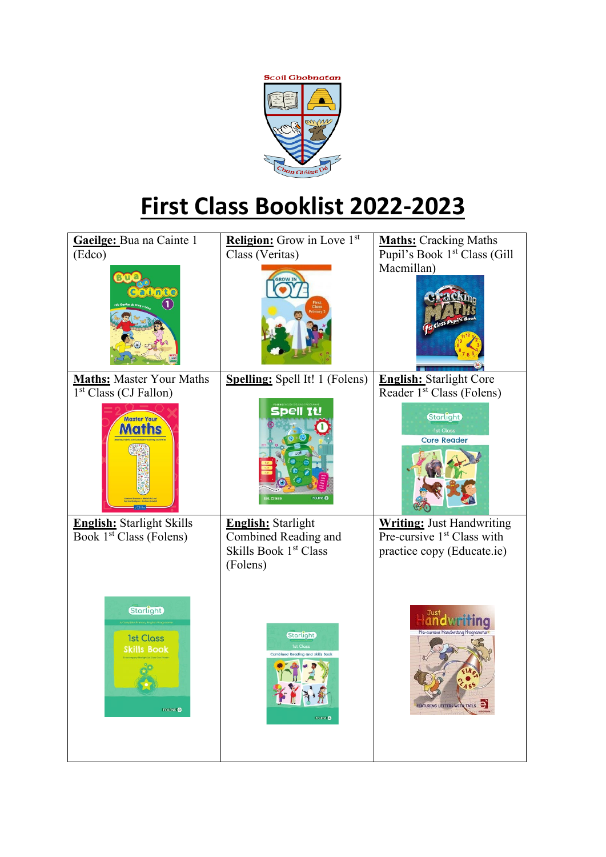

## **First Class Booklist 2022-2023**

| Gaeilge: Bua na Cainte 1<br>(Edco)<br><b>Bua</b><br>alate<br>$\left( \mathbf{1}\right)$ | Religion: Grow in Love 1st<br>Class (Veritas)                                          | <b>Maths:</b> Cracking Maths<br>Pupil's Book 1 <sup>st</sup> Class (Gill<br>Macmillan)                                         |
|-----------------------------------------------------------------------------------------|----------------------------------------------------------------------------------------|--------------------------------------------------------------------------------------------------------------------------------|
| <b>Maths:</b> Master Your Maths<br>1 <sup>st</sup> Class (CJ Fallon)<br>Master Your     | <b>Spelling:</b> Spell It! 1 (Folens)<br>Spell It!                                     | English: Starlight Core<br>Reader 1 <sup>st</sup> Class (Folens)<br><b>Starlight</b><br><b>1st Class</b><br><b>Core Reader</b> |
| <b>English:</b> Starlight Skills<br>Book 1 <sup>st</sup> Class (Folens)                 | <b>English:</b> Starlight<br>Combined Reading and<br>Skills Book 1st Class<br>(Folens) | <b>Writing: Just Handwriting</b><br>Pre-cursive 1 <sup>st</sup> Class with<br>practice copy (Educate.ie)                       |
| <b>Starlight</b><br><b>1st Class</b><br><b>Skills Book</b><br><b>FOLENS</b>             | <b>Starlight</b><br>1st Closs<br>Combined Reading and Skills Book                      | EATURING LETTERS WITH TAILS                                                                                                    |